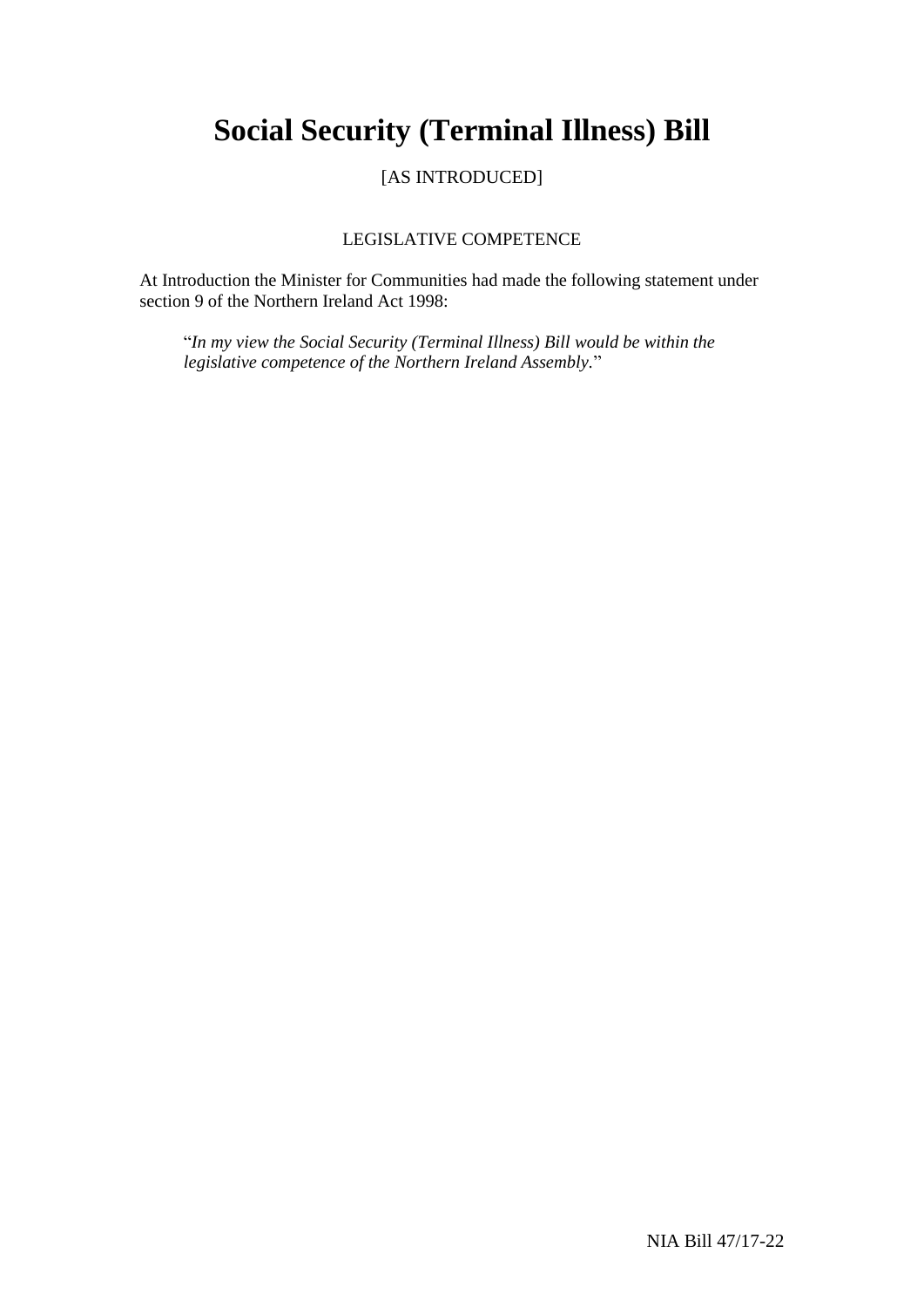# **Social Security (Terminal Illness) Bill**

[AS INTRODUCED]

### LEGISLATIVE COMPETENCE

At Introduction the Minister for Communities had made the following statement under section 9 of the Northern Ireland Act 1998:

"*In my view the Social Security (Terminal Illness) Bill would be within the legislative competence of the Northern Ireland Assembly.*"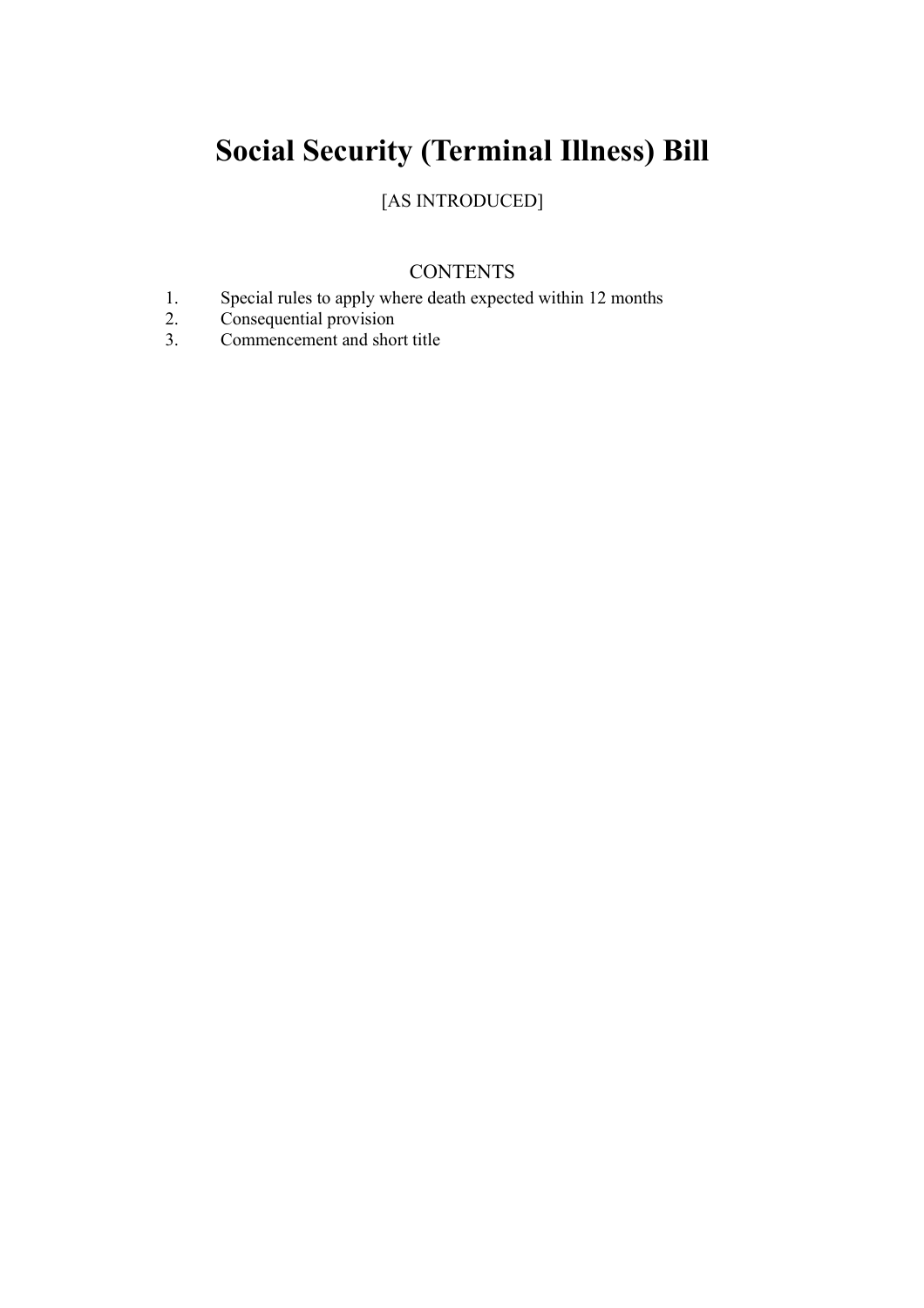# **Social Security (Terminal Illness) Bill**

## [AS INTRODUCED]

## **CONTENTS**

- 1. Special rules to apply where death expected within 12 months
- 2. Consequential provision
- 3. Commencement and short title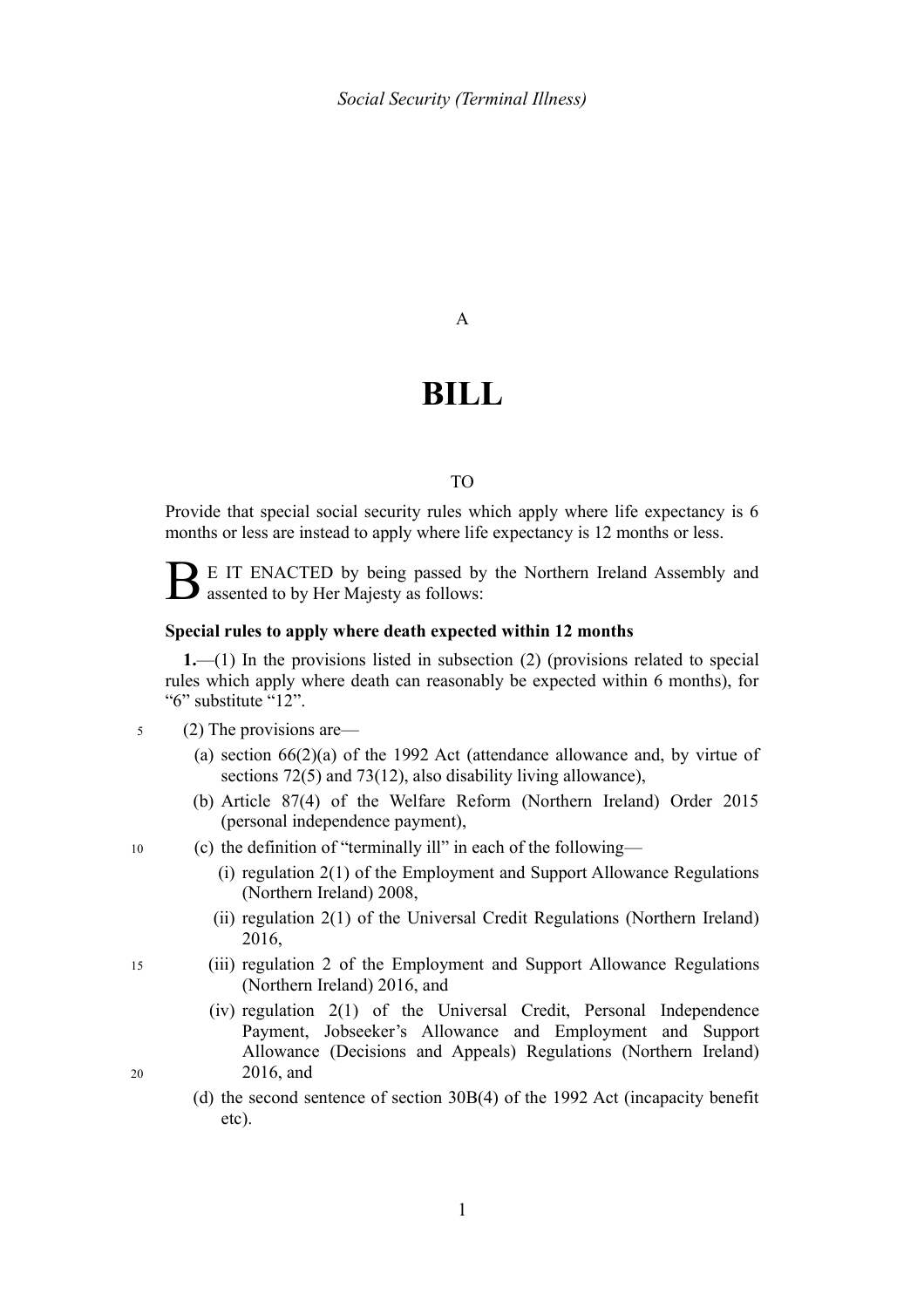#### A

## **BILL**

#### TO

Provide that special social security rules which apply where life expectancy is 6 months or less are instead to apply where life expectancy is 12 months or less.

E IT ENACTED by being passed by the Northern Ireland Assembly and assented to by Her Majesty as follows:

#### **Special rules to apply where death expected within 12 months**

<span id="page-4-2"></span><span id="page-4-1"></span>**1.**—(1) In the provisions listed in subsection [\(2\)](#page-4-0) (provisions related to special rules which apply where death can reasonably be expected within 6 months), for "6" substitute "12".

(2) The provisions are— 5

15

20

- <span id="page-4-0"></span>(a) section  $66(2)(a)$  of the 1992 Act (attendance allowance and, by virtue of sections 72(5) and 73(12), also disability living allowance),
- (b) Article 87(4) of the Welfare Reform (Northern Ireland) Order 2015 (personal independence payment),

(c) the definition of "terminally ill" in each of the following— 10

- (i) regulation 2(1) of the Employment and Support Allowance Regulations (Northern Ireland) 2008,
- (ii) regulation 2(1) of the Universal Credit Regulations (Northern Ireland) 2016,
- (iii) regulation 2 of the Employment and Support Allowance Regulations (Northern Ireland) 2016, and
	- (iv) regulation 2(1) of the Universal Credit, Personal Independence Payment, Jobseeker's Allowance and Employment and Support Allowance (Decisions and Appeals) Regulations (Northern Ireland) 2016, and
	- (d) the second sentence of section 30B(4) of the 1992 Act (incapacity benefit etc).

1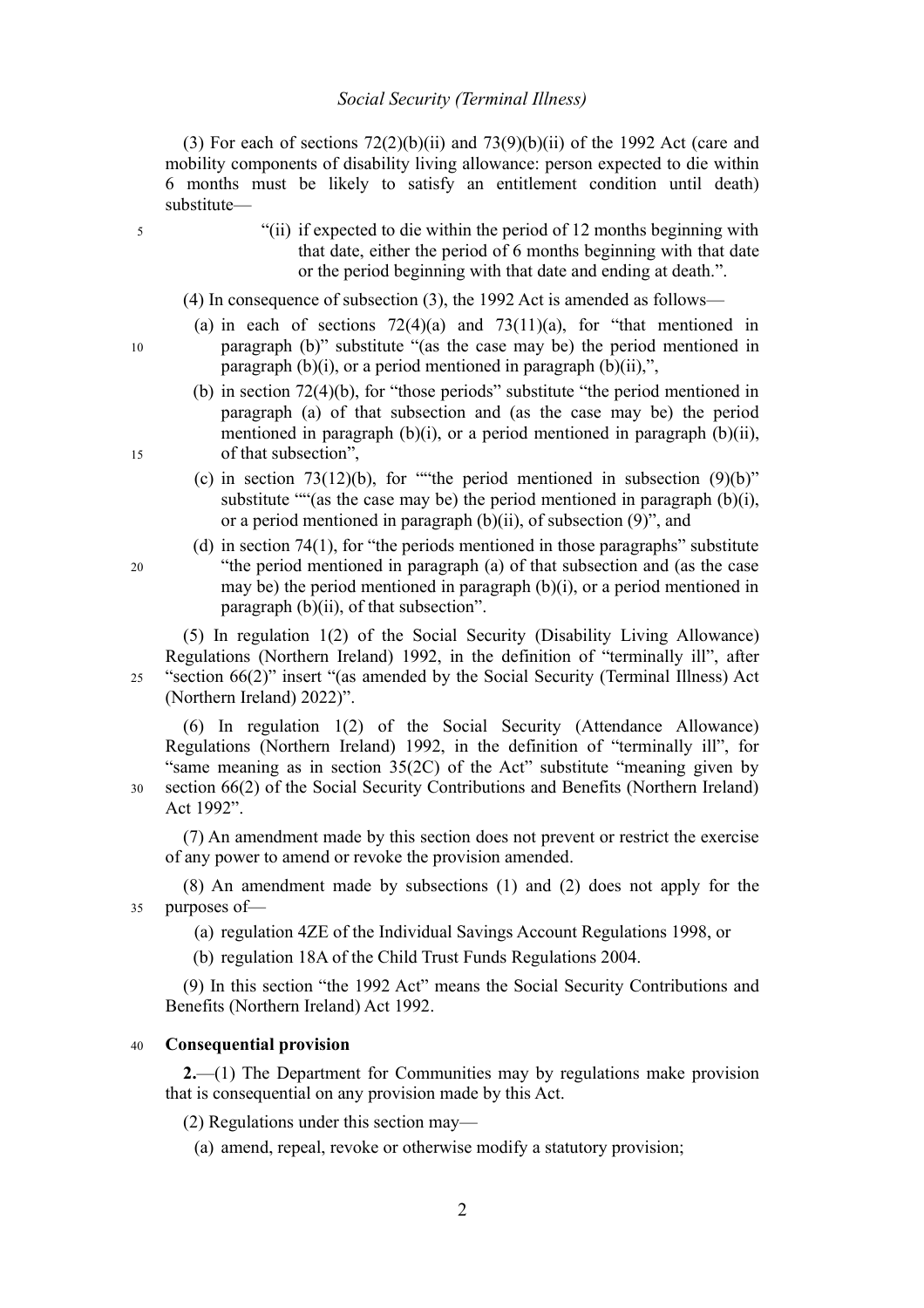<span id="page-5-0"></span>(3) For each of sections  $72(2)(b)(ii)$  and  $73(9)(b)(ii)$  of the 1992 Act (care and mobility components of disability living allowance: person expected to die within 6 months must be likely to satisfy an entitlement condition until death) substitute—

> "(ii) if expected to die within the period of 12 months beginning with that date, either the period of 6 months beginning with that date or the period beginning with that date and ending at death.".

(4) In consequence of subsection [\(3\),](#page-5-0) the 1992 Act is amended as follows—

- (a) in each of sections  $72(4)(a)$  and  $73(11)(a)$ , for "that mentioned in paragraph (b)" substitute "(as the case may be) the period mentioned in paragraph  $(b)(i)$ , or a period mentioned in paragraph  $(b)(ii)$ ,",
- (b) in section 72(4)(b), for "those periods" substitute "the period mentioned in paragraph (a) of that subsection and (as the case may be) the period mentioned in paragraph (b)(i), or a period mentioned in paragraph (b)(ii), of that subsection",
- (c) in section  $73(12)(b)$ , for ""the period mentioned in subsection  $(9)(b)$ " substitute ""(as the case may be) the period mentioned in paragraph (b)(i), or a period mentioned in paragraph (b)(ii), of subsection (9)", and
- (d) in section 74(1), for "the periods mentioned in those paragraphs" substitute "the period mentioned in paragraph (a) of that subsection and (as the case may be) the period mentioned in paragraph  $(b)(i)$ , or a period mentioned in paragraph (b)(ii), of that subsection".

(5) In regulation 1(2) of the Social Security (Disability Living Allowance) Regulations (Northern Ireland) 1992, in the definition of "terminally ill", after "section 66(2)" insert "(as amended by the Social Security (Terminal Illness) Act (Northern Ireland) 2022)".

(6) In regulation 1(2) of the Social Security (Attendance Allowance) Regulations (Northern Ireland) 1992, in the definition of "terminally ill", for "same meaning as in section 35(2C) of the Act" substitute "meaning given by section 66(2) of the Social Security Contributions and Benefits (Northern Ireland) Act 1992".

(7) An amendment made by this section does not prevent or restrict the exercise of any power to amend or revoke the provision amended.

(8) An amendment made by subsections [\(1\)](#page-4-1) and [\(2\)](#page-4-0) does not apply for the purposes of— 35

(a) regulation 4ZE of the Individual Savings Account Regulations 1998, or

(b) regulation 18A of the Child Trust Funds Regulations 2004.

(9) In this section "the 1992 Act" means the Social Security Contributions and Benefits (Northern Ireland) Act 1992.

#### **Consequential provision**  40

<span id="page-5-1"></span>**2.**—(1) The Department for Communities may by regulations make provision that is consequential on any provision made by this Act.

(2) Regulations under this section may—

(a) amend, repeal, revoke or otherwise modify a statutory provision;

10

15

5

20

 $25$ 

30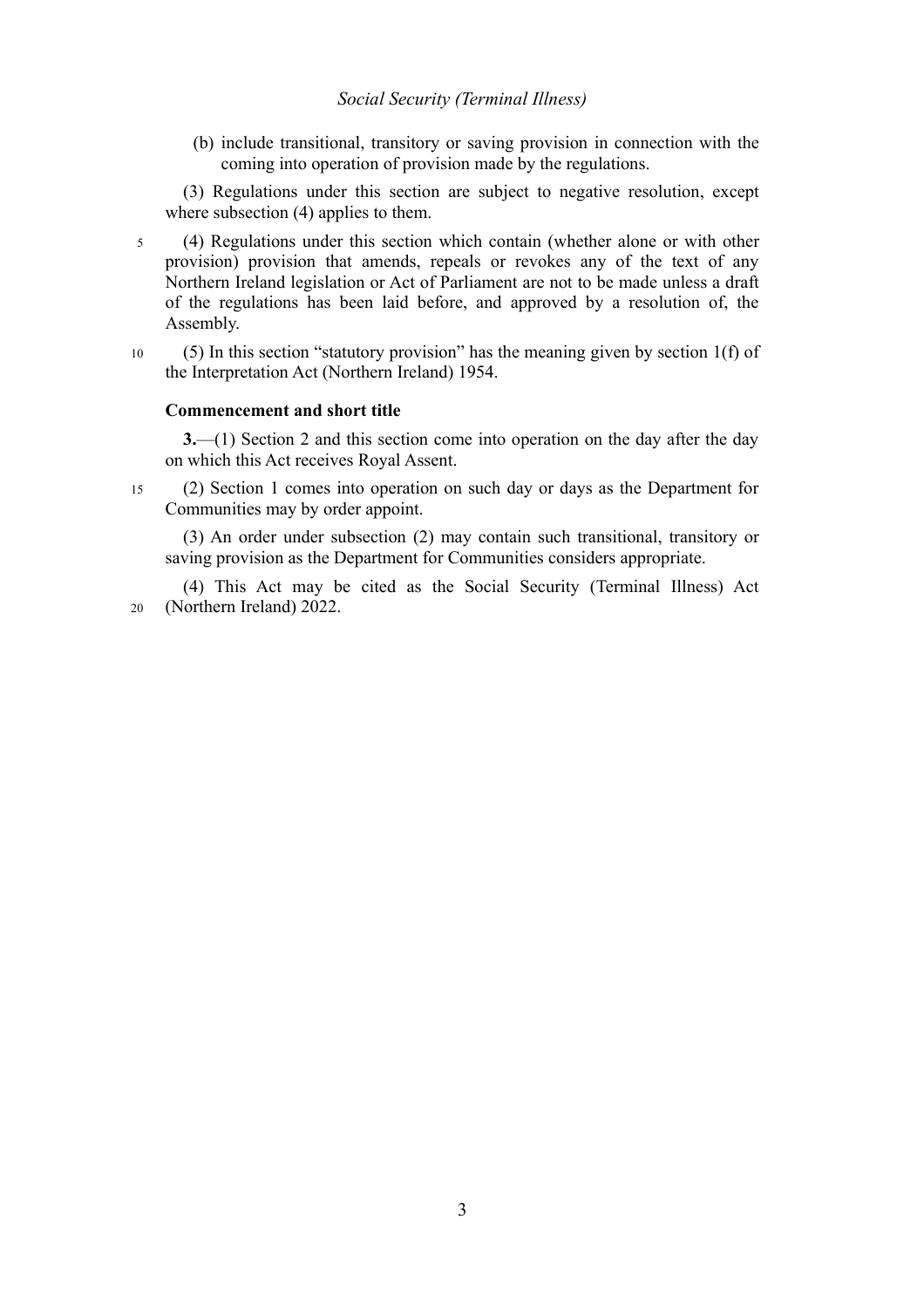#### *Social Security (Terminal Illness)*

(b) include transitional, transitory or saving provision in connection with the coming into operation of provision made by the regulations.

(3) Regulations under this section are subject to negative resolution, except where subsection [\(4\)](#page-6-1) applies to them.

- <span id="page-6-1"></span>(4) Regulations under this section which contain (whether alone or with other provision) provision that amends, repeals or revokes any of the text of any Northern Ireland legislation or Act of Parliament are not to be made unless a draft of the regulations has been laid before, and approved by a resolution of, the Assembly. 5
- (5) In this section "statutory provision" has the meaning given by section 1(f) of the Interpretation Act (Northern Ireland) 1954. 10

#### **Commencement and short title**

**3.**—(1) Section [2](#page-5-1) and this section come into operation on the day after the day on which this Act receives Royal Assent.

15

<span id="page-6-0"></span>(2) Section [1](#page-4-2) comes into operation on such day or days as the Department for Communities may by order appoint.

(3) An order under subsection [\(2\)](#page-6-0) may contain such transitional, transitory or saving provision as the Department for Communities considers appropriate.

(4) This Act may be cited as the Social Security (Terminal Illness) Act (Northern Ireland) 2022. 20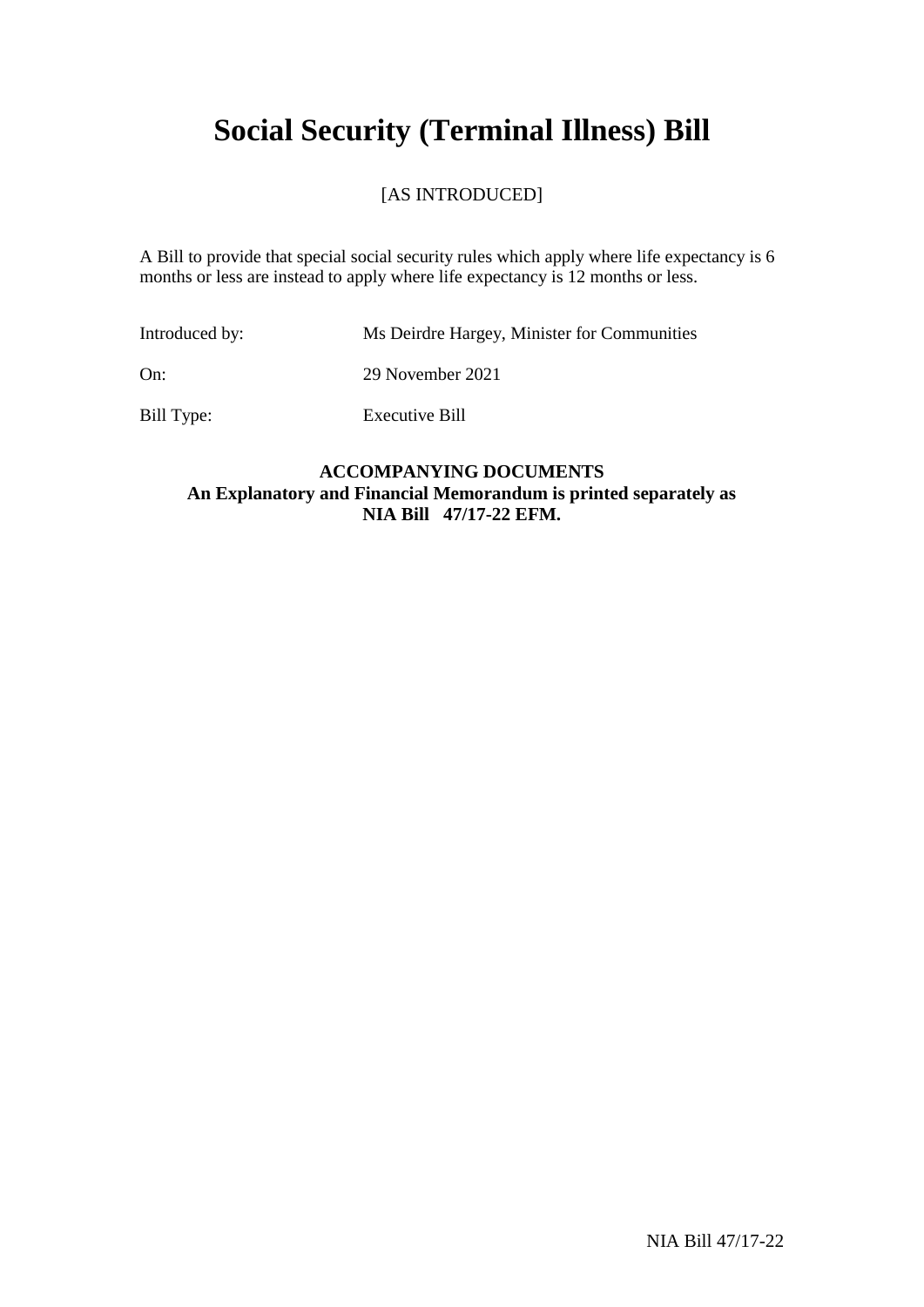# **Social Security (Terminal Illness) Bill**

## [AS INTRODUCED]

A Bill to provide that special social security rules which apply where life expectancy is 6 months or less are instead to apply where life expectancy is 12 months or less.

On: 29 November 2021

Bill Type: Executive Bill

### **ACCOMPANYING DOCUMENTS An Explanatory and Financial Memorandum is printed separately as NIA Bill 47/17-22 EFM.**